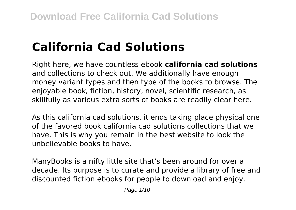# **California Cad Solutions**

Right here, we have countless ebook **california cad solutions** and collections to check out. We additionally have enough money variant types and then type of the books to browse. The enjoyable book, fiction, history, novel, scientific research, as skillfully as various extra sorts of books are readily clear here.

As this california cad solutions, it ends taking place physical one of the favored book california cad solutions collections that we have. This is why you remain in the best website to look the unbelievable books to have.

ManyBooks is a nifty little site that's been around for over a decade. Its purpose is to curate and provide a library of free and discounted fiction ebooks for people to download and enjoy.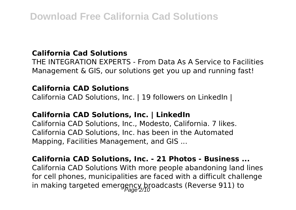#### **California Cad Solutions**

THE INTEGRATION EXPERTS - From Data As A Service to Facilities Management & GIS, our solutions get you up and running fast!

#### **California CAD Solutions**

California CAD Solutions, Inc. | 19 followers on LinkedIn |

#### **California CAD Solutions, Inc. | LinkedIn**

California CAD Solutions, Inc., Modesto, California. 7 likes. California CAD Solutions, Inc. has been in the Automated Mapping, Facilities Management, and GIS ...

#### **California CAD Solutions, Inc. - 21 Photos - Business ...**

California CAD Solutions With more people abandoning land lines for cell phones, municipalities are faced with a difficult challenge in making targeted emergency broadcasts (Reverse 911) to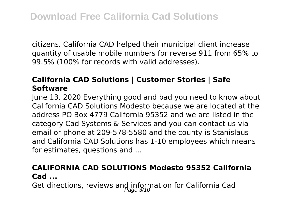citizens. California CAD helped their municipal client increase quantity of usable mobile numbers for reverse 911 from 65% to 99.5% (100% for records with valid addresses).

# **California CAD Solutions | Customer Stories | Safe Software**

June 13, 2020 Everything good and bad you need to know about California CAD Solutions Modesto because we are located at the address PO Box 4779 California 95352 and we are listed in the category Cad Systems & Services and you can contact us via email or phone at 209-578-5580 and the county is Stanislaus and California CAD Solutions has 1-10 employees which means for estimates, questions and ...

#### **CALIFORNIA CAD SOLUTIONS Modesto 95352 California Cad ...**

Get directions, reviews and information for California Cad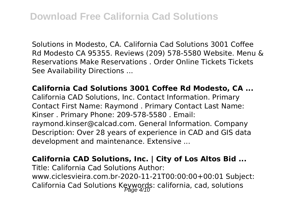Solutions in Modesto, CA. California Cad Solutions 3001 Coffee Rd Modesto CA 95355. Reviews (209) 578-5580 Website. Menu & Reservations Make Reservations . Order Online Tickets Tickets See Availability Directions ...

#### **California Cad Solutions 3001 Coffee Rd Modesto, CA ...**

California CAD Solutions, Inc. Contact Information. Primary Contact First Name: Raymond . Primary Contact Last Name: Kinser . Primary Phone: 209-578-5580 . Email: raymond.kinser@calcad.com. General Information. Company Description: Over 28 years of experience in CAD and GIS data development and maintenance. Extensive ...

#### **California CAD Solutions, Inc. | City of Los Altos Bid ...**

Title: California Cad Solutions Author: www.ciclesvieira.com.br-2020-11-21T00:00:00+00:01 Subject: California Cad Solutions Keywords: california, cad, solutions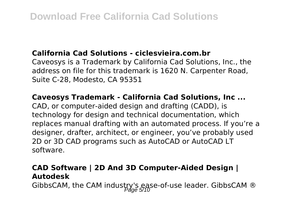#### **California Cad Solutions - ciclesvieira.com.br**

Caveosys is a Trademark by California Cad Solutions, Inc., the address on file for this trademark is 1620 N. Carpenter Road, Suite C-28, Modesto, CA 95351

#### **Caveosys Trademark - California Cad Solutions, Inc ...**

CAD, or computer-aided design and drafting (CADD), is technology for design and technical documentation, which replaces manual drafting with an automated process. If you're a designer, drafter, architect, or engineer, you've probably used 2D or 3D CAD programs such as AutoCAD or AutoCAD LT software.

### **CAD Software | 2D And 3D Computer-Aided Design | Autodesk**

GibbsCAM, the CAM industry's ease-of-use leader. GibbsCAM  $@$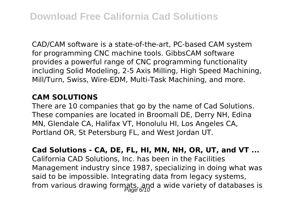CAD/CAM software is a state-of-the-art, PC-based CAM system for programming CNC machine tools. GibbsCAM software provides a powerful range of CNC programming functionality including Solid Modeling, 2-5 Axis Milling, High Speed Machining, Mill/Turn, Swiss, Wire-EDM, Multi-Task Machining, and more.

#### **CAM SOLUTIONS**

There are 10 companies that go by the name of Cad Solutions. These companies are located in Broomall DE, Derry NH, Edina MN, Glendale CA, Halifax VT, Honolulu HI, Los Angeles CA, Portland OR, St Petersburg FL, and West Jordan UT.

**Cad Solutions - CA, DE, FL, HI, MN, NH, OR, UT, and VT ...** California CAD Solutions, Inc. has been in the Facilities Management industry since 1987, specializing in doing what was said to be impossible. Integrating data from legacy systems, from various drawing formats, and a wide variety of databases is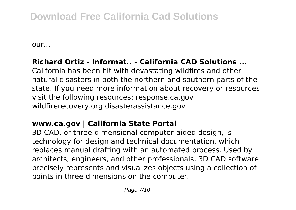# **Download Free California Cad Solutions**

our...

# **Richard Ortiz - Informat.. - California CAD Solutions ...**

California has been hit with devastating wildfires and other natural disasters in both the northern and southern parts of the state. If you need more information about recovery or resources visit the following resources: response.ca.gov wildfirerecovery.org disasterassistance.gov

# **www.ca.gov | California State Portal**

3D CAD, or three-dimensional computer-aided design, is technology for design and technical documentation, which replaces manual drafting with an automated process. Used by architects, engineers, and other professionals, 3D CAD software precisely represents and visualizes objects using a collection of points in three dimensions on the computer.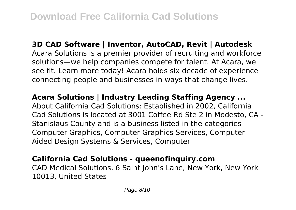**3D CAD Software | Inventor, AutoCAD, Revit | Autodesk** Acara Solutions is a premier provider of recruiting and workforce solutions—we help companies compete for talent. At Acara, we see fit. Learn more today! Acara holds six decade of experience

connecting people and businesses in ways that change lives.

**Acara Solutions | Industry Leading Staffing Agency ...** About California Cad Solutions: Established in 2002, California Cad Solutions is located at 3001 Coffee Rd Ste 2 in Modesto, CA - Stanislaus County and is a business listed in the categories Computer Graphics, Computer Graphics Services, Computer Aided Design Systems & Services, Computer

# **California Cad Solutions - queenofinquiry.com**

CAD Medical Solutions. 6 Saint John's Lane, New York, New York 10013, United States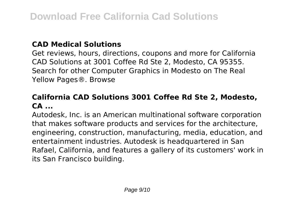#### **CAD Medical Solutions**

Get reviews, hours, directions, coupons and more for California CAD Solutions at 3001 Coffee Rd Ste 2, Modesto, CA 95355. Search for other Computer Graphics in Modesto on The Real Yellow Pages®. Browse

# **California CAD Solutions 3001 Coffee Rd Ste 2, Modesto, CA ...**

Autodesk, Inc. is an American multinational software corporation that makes software products and services for the architecture, engineering, construction, manufacturing, media, education, and entertainment industries. Autodesk is headquartered in San Rafael, California, and features a gallery of its customers' work in its San Francisco building.